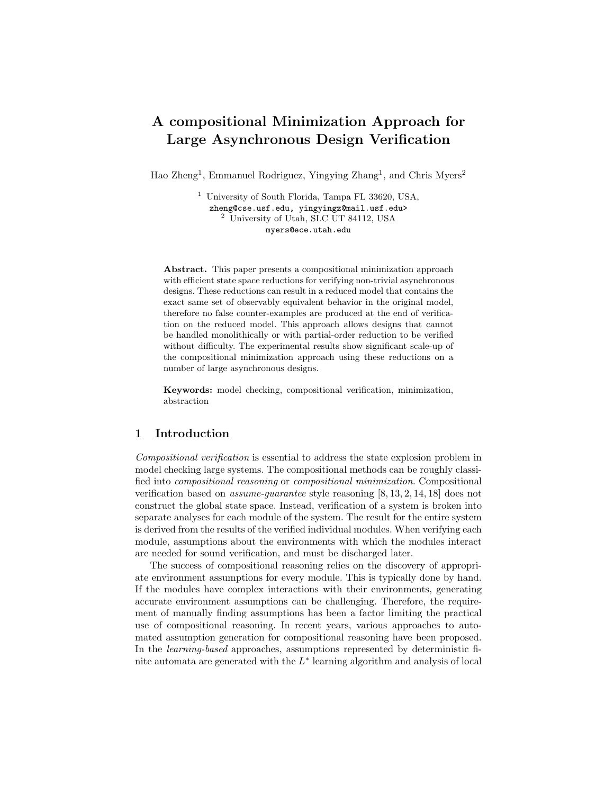# A compositional Minimization Approach for Large Asynchronous Design Verification

Hao Zheng<sup>1</sup>, Emmanuel Rodriguez, Yingying Zhang<sup>1</sup>, and Chris Myers<sup>2</sup>

<sup>1</sup> University of South Florida, Tampa FL 33620, USA, zheng@cse.usf.edu, yingyingz@mail.usf.edu> <sup>2</sup> University of Utah, SLC UT 84112, USA myers@ece.utah.edu

Abstract. This paper presents a compositional minimization approach with efficient state space reductions for verifying non-trivial asynchronous designs. These reductions can result in a reduced model that contains the exact same set of observably equivalent behavior in the original model, therefore no false counter-examples are produced at the end of verification on the reduced model. This approach allows designs that cannot be handled monolithically or with partial-order reduction to be verified without difficulty. The experimental results show significant scale-up of the compositional minimization approach using these reductions on a number of large asynchronous designs.

Keywords: model checking, compositional verification, minimization, abstraction

### 1 Introduction

Compositional verification is essential to address the state explosion problem in model checking large systems. The compositional methods can be roughly classified into compositional reasoning or compositional minimization. Compositional verification based on assume-guarantee style reasoning [8, 13, 2, 14, 18] does not construct the global state space. Instead, verification of a system is broken into separate analyses for each module of the system. The result for the entire system is derived from the results of the verified individual modules. When verifying each module, assumptions about the environments with which the modules interact are needed for sound verification, and must be discharged later.

The success of compositional reasoning relies on the discovery of appropriate environment assumptions for every module. This is typically done by hand. If the modules have complex interactions with their environments, generating accurate environment assumptions can be challenging. Therefore, the requirement of manually finding assumptions has been a factor limiting the practical use of compositional reasoning. In recent years, various approaches to automated assumption generation for compositional reasoning have been proposed. In the learning-based approaches, assumptions represented by deterministic finite automata are generated with the  $L^*$  learning algorithm and analysis of local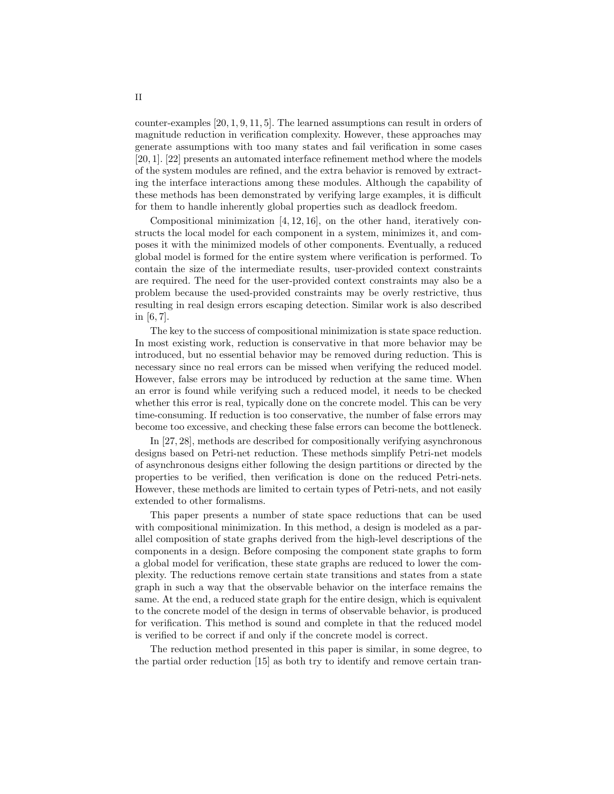counter-examples [20, 1, 9, 11, 5]. The learned assumptions can result in orders of magnitude reduction in verification complexity. However, these approaches may generate assumptions with too many states and fail verification in some cases [20, 1]. [22] presents an automated interface refinement method where the models of the system modules are refined, and the extra behavior is removed by extracting the interface interactions among these modules. Although the capability of these methods has been demonstrated by verifying large examples, it is difficult for them to handle inherently global properties such as deadlock freedom.

Compositional minimization [4, 12, 16], on the other hand, iteratively constructs the local model for each component in a system, minimizes it, and composes it with the minimized models of other components. Eventually, a reduced global model is formed for the entire system where verification is performed. To contain the size of the intermediate results, user-provided context constraints are required. The need for the user-provided context constraints may also be a problem because the used-provided constraints may be overly restrictive, thus resulting in real design errors escaping detection. Similar work is also described in [6, 7].

The key to the success of compositional minimization is state space reduction. In most existing work, reduction is conservative in that more behavior may be introduced, but no essential behavior may be removed during reduction. This is necessary since no real errors can be missed when verifying the reduced model. However, false errors may be introduced by reduction at the same time. When an error is found while verifying such a reduced model, it needs to be checked whether this error is real, typically done on the concrete model. This can be very time-consuming. If reduction is too conservative, the number of false errors may become too excessive, and checking these false errors can become the bottleneck.

In [27, 28], methods are described for compositionally verifying asynchronous designs based on Petri-net reduction. These methods simplify Petri-net models of asynchronous designs either following the design partitions or directed by the properties to be verified, then verification is done on the reduced Petri-nets. However, these methods are limited to certain types of Petri-nets, and not easily extended to other formalisms.

This paper presents a number of state space reductions that can be used with compositional minimization. In this method, a design is modeled as a parallel composition of state graphs derived from the high-level descriptions of the components in a design. Before composing the component state graphs to form a global model for verification, these state graphs are reduced to lower the complexity. The reductions remove certain state transitions and states from a state graph in such a way that the observable behavior on the interface remains the same. At the end, a reduced state graph for the entire design, which is equivalent to the concrete model of the design in terms of observable behavior, is produced for verification. This method is sound and complete in that the reduced model is verified to be correct if and only if the concrete model is correct.

The reduction method presented in this paper is similar, in some degree, to the partial order reduction [15] as both try to identify and remove certain tran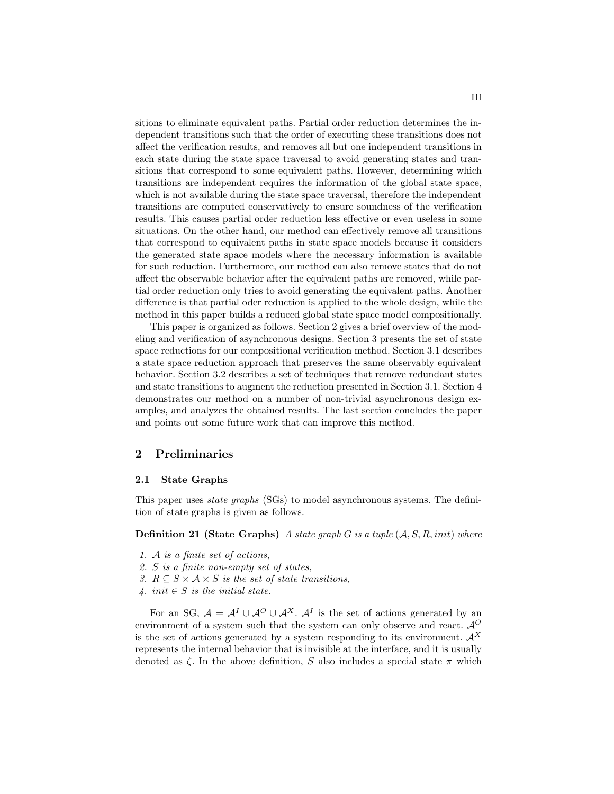sitions to eliminate equivalent paths. Partial order reduction determines the independent transitions such that the order of executing these transitions does not affect the verification results, and removes all but one independent transitions in each state during the state space traversal to avoid generating states and transitions that correspond to some equivalent paths. However, determining which transitions are independent requires the information of the global state space, which is not available during the state space traversal, therefore the independent transitions are computed conservatively to ensure soundness of the verification results. This causes partial order reduction less effective or even useless in some situations. On the other hand, our method can effectively remove all transitions that correspond to equivalent paths in state space models because it considers the generated state space models where the necessary information is available for such reduction. Furthermore, our method can also remove states that do not affect the observable behavior after the equivalent paths are removed, while partial order reduction only tries to avoid generating the equivalent paths. Another difference is that partial oder reduction is applied to the whole design, while the method in this paper builds a reduced global state space model compositionally.

This paper is organized as follows. Section 2 gives a brief overview of the modeling and verification of asynchronous designs. Section 3 presents the set of state space reductions for our compositional verification method. Section 3.1 describes a state space reduction approach that preserves the same observably equivalent behavior. Section 3.2 describes a set of techniques that remove redundant states and state transitions to augment the reduction presented in Section 3.1. Section 4 demonstrates our method on a number of non-trivial asynchronous design examples, and analyzes the obtained results. The last section concludes the paper and points out some future work that can improve this method.

### 2 Preliminaries

#### 2.1 State Graphs

This paper uses state graphs (SGs) to model asynchronous systems. The definition of state graphs is given as follows.

**Definition 21 (State Graphs)** A state graph G is a tuple  $(A, S, R, init)$  where

- 1. A is a finite set of actions,
- 2. S is a finite non-empty set of states,
- 3.  $R \subseteq S \times A \times S$  is the set of state transitions,
- 4. init  $\in S$  is the initial state.

For an SG,  $A = A^I \cup A^O \cup A^X$ .  $A^I$  is the set of actions generated by an environment of a system such that the system can only observe and react.  $\mathcal{A}^O$ is the set of actions generated by a system responding to its environment.  $\mathcal{A}^X$ represents the internal behavior that is invisible at the interface, and it is usually denoted as  $\zeta$ . In the above definition, S also includes a special state  $\pi$  which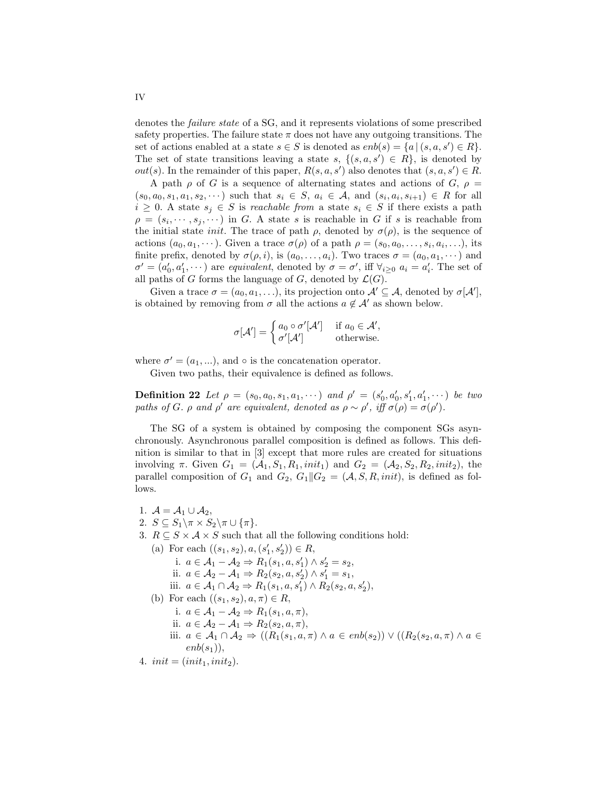denotes the failure state of a SG, and it represents violations of some prescribed safety properties. The failure state  $\pi$  does not have any outgoing transitions. The set of actions enabled at a state  $s \in S$  is denoted as  $enb(s) = \{a \mid (s, a, s') \in R\}.$ The set of state transitions leaving a state s,  $\{(s, a, s') \in R\}$ , is denoted by *out*(*s*). In the remainder of this paper,  $R(s, a, s')$  also denotes that  $(s, a, s') \in R$ .

A path  $\rho$  of G is a sequence of alternating states and actions of G,  $\rho =$  $(s_0, a_0, s_1, a_1, s_2, \cdots)$  such that  $s_i \in S$ ,  $a_i \in A$ , and  $(s_i, a_i, s_{i+1}) \in R$  for all  $i \geq 0$ . A state  $s_j \in S$  is reachable from a state  $s_i \in S$  if there exists a path  $\rho = (s_i, \dots, s_j, \dots)$  in G. A state s is reachable in G if s is reachable from the initial state *init*. The trace of path  $\rho$ , denoted by  $\sigma(\rho)$ , is the sequence of actions  $(a_0, a_1, \dots)$ . Given a trace  $\sigma(\rho)$  of a path  $\rho = (s_0, a_0, \dots, s_i, a_i, \dots)$ , its finite prefix, denoted by  $\sigma(\rho, i)$ , is  $(a_0, \ldots, a_i)$ . Two traces  $\sigma = (a_0, a_1, \cdots)$  and  $\sigma' = (a'_0, a'_1, \dots)$  are equivalent, denoted by  $\sigma = \sigma'$ , iff  $\forall_{i \geq 0} a_i = a'_i$ . The set of all paths of G forms the language of G, denoted by  $\mathcal{L}(G)$ .

Given a trace  $\sigma = (a_0, a_1, \ldots)$ , its projection onto  $\mathcal{A}' \subseteq \mathcal{A}$ , denoted by  $\sigma[\mathcal{A}']$ , is obtained by removing from  $\sigma$  all the actions  $a \notin \mathcal{A}'$  as shown below.

$$
\sigma[\mathcal{A}'] = \begin{cases} a_0 \circ \sigma'[\mathcal{A}'] & \text{if } a_0 \in \mathcal{A}', \\ \sigma'[\mathcal{A}'] & \text{otherwise.} \end{cases}
$$

where  $\sigma' = (a_1, \ldots)$ , and  $\circ$  is the concatenation operator.

Given two paths, their equivalence is defined as follows.

**Definition 22** Let  $\rho = (s_0, a_0, s_1, a_1, \cdots)$  and  $\rho' = (s'_0, a'_0, s'_1, a'_1, \cdots)$  be two paths of G.  $\rho$  and  $\rho'$  are equivalent, denoted as  $\rho \sim \rho'$ , iff  $\sigma(\rho) = \sigma(\rho')$ .

The SG of a system is obtained by composing the component SGs asynchronously. Asynchronous parallel composition is defined as follows. This definition is similar to that in [3] except that more rules are created for situations involving  $\pi$ . Given  $G_1 = (\mathcal{A}_1, S_1, R_1, init_1)$  and  $G_2 = (\mathcal{A}_2, S_2, R_2, init_2)$ , the parallel composition of  $G_1$  and  $G_2$ ,  $G_1||G_2 = (A, S, R, init)$ , is defined as follows.

- 1.  $\mathcal{A} = \mathcal{A}_1 \cup \mathcal{A}_2$
- 2.  $S \subseteq S_1 \setminus \pi \times S_2 \setminus \pi \cup \{\pi\}.$
- 3.  $R \subseteq S \times A \times S$  such that all the following conditions hold:

(a) For each  $((s_1, s_2), a, (s'_1, s'_2)) \in R$ , i.  $a \in \mathcal{A}_1 - \mathcal{A}_2 \Rightarrow R_1(s_1, a, s'_1) \land s'_2 = s_2$ , ii.  $a \in A_2 - A_1 \Rightarrow R_2(s_2, a, s'_2) \land s'_1 = s_1$ , iii.  $a \in A_1 \cap A_2 \Rightarrow R_1(s_1, a, s'_1) \land R_2(s_2, a, s'_2),$ (b) For each  $((s_1, s_2), a, \pi) \in R$ , i.  $a \in \mathcal{A}_1 - \mathcal{A}_2 \Rightarrow R_1(s_1, a, \pi),$ ii.  $a \in \mathcal{A}_2 - \mathcal{A}_1 \Rightarrow R_2(s_2, a, \pi),$ iii.  $a \in \mathcal{A}_1 \cap \mathcal{A}_2 \Rightarrow ((R_1(s_1, a, \pi) \land a \in emb(s_2)) \lor ((R_2(s_2, a, \pi) \land a \in$  $enb(s_1)$ ,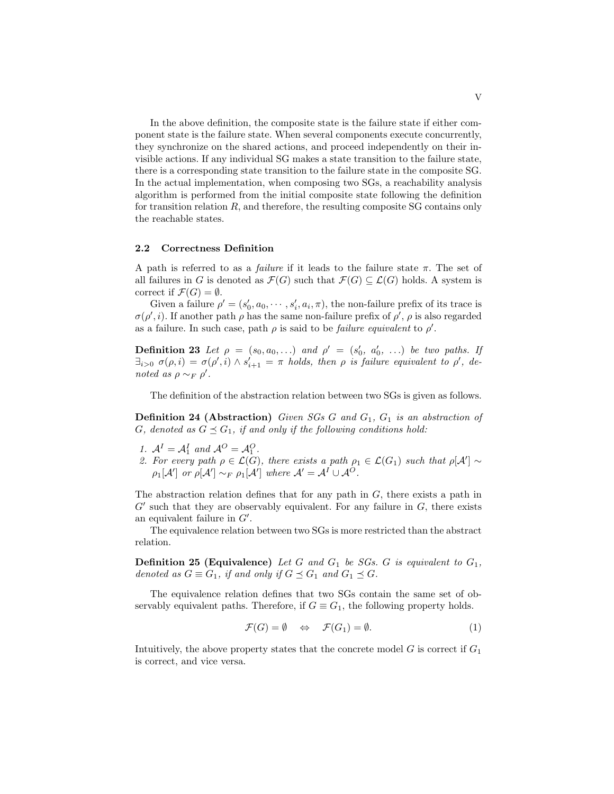In the above definition, the composite state is the failure state if either component state is the failure state. When several components execute concurrently, they synchronize on the shared actions, and proceed independently on their invisible actions. If any individual SG makes a state transition to the failure state, there is a corresponding state transition to the failure state in the composite SG. In the actual implementation, when composing two SGs, a reachability analysis algorithm is performed from the initial composite state following the definition for transition relation R, and therefore, the resulting composite SG contains only the reachable states.

#### 2.2 Correctness Definition

A path is referred to as a *failure* if it leads to the failure state  $\pi$ . The set of all failures in G is denoted as  $\mathcal{F}(G)$  such that  $\mathcal{F}(G) \subseteq \mathcal{L}(G)$  holds. A system is correct if  $\mathcal{F}(G) = \emptyset$ .

Given a failure  $\rho' = (s'_0, a_0, \dots, s'_i, a_i, \pi)$ , the non-failure prefix of its trace is  $\sigma(\rho', i)$ . If another path  $\rho$  has the same non-failure prefix of  $\rho', \rho$  is also regarded as a failure. In such case, path  $\rho$  is said to be *failure equivalent* to  $\rho'$ .

**Definition 23** Let  $\rho = (s_0, a_0, \ldots)$  and  $\rho' = (s'_0, a'_0, \ldots)$  be two paths. If  $\exists_{i>0} \ \sigma(\rho, i) = \sigma(\rho', i) \wedge s'_{i+1} = \pi \ holds, \ then \ \rho \ \ is \ failure \ equivalent \ to \ \rho', \ de$ noted as  $\rho \sim_F \rho'$ .

The definition of the abstraction relation between two SGs is given as follows.

**Definition 24 (Abstraction)** Given SGs G and  $G_1$ ,  $G_1$  is an abstraction of G, denoted as  $G \preceq G_1$ , if and only if the following conditions hold:

- 1.  $A^I = A_1^I$  and  $A^O = A_1^O$ .
- 2. For every path  $\rho \in \mathcal{L}(G)$ , there exists a path  $\rho_1 \in \mathcal{L}(G_1)$  such that  $\rho[\mathcal{A}'] \sim$  $\rho_1[\mathcal{A}']$  or  $\rho[\mathcal{A}'] \sim_F \rho_1[\mathcal{A}']$  where  $\mathcal{A}' = \mathcal{A}^I \cup \mathcal{A}^O$ .

The abstraction relation defines that for any path in  $G$ , there exists a path in  $G'$  such that they are observably equivalent. For any failure in  $G$ , there exists an equivalent failure in  $G'$ .

The equivalence relation between two SGs is more restricted than the abstract relation.

**Definition 25 (Equivalence)** Let G and  $G_1$  be SGs. G is equivalent to  $G_1$ , denoted as  $G \equiv G_1$ , if and only if  $G \preceq G_1$  and  $G_1 \preceq G$ .

The equivalence relation defines that two SGs contain the same set of observably equivalent paths. Therefore, if  $G \equiv G_1$ , the following property holds.

$$
\mathcal{F}(G) = \emptyset \quad \Leftrightarrow \quad \mathcal{F}(G_1) = \emptyset. \tag{1}
$$

Intuitively, the above property states that the concrete model  $G$  is correct if  $G_1$ is correct, and vice versa.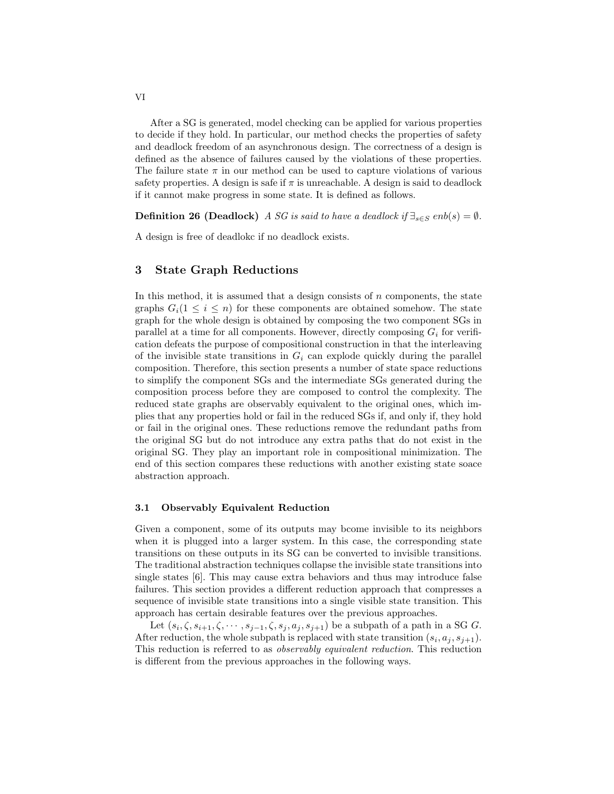After a SG is generated, model checking can be applied for various properties to decide if they hold. In particular, our method checks the properties of safety and deadlock freedom of an asynchronous design. The correctness of a design is defined as the absence of failures caused by the violations of these properties. The failure state  $\pi$  in our method can be used to capture violations of various safety properties. A design is safe if  $\pi$  is unreachable. A design is said to deadlock if it cannot make progress in some state. It is defined as follows.

**Definition 26 (Deadlock)** A SG is said to have a deadlock if  $\exists_{s \in S} emb(s) = \emptyset$ .

A design is free of deadlokc if no deadlock exists.

# 3 State Graph Reductions

In this method, it is assumed that a design consists of  $n$  components, the state graphs  $G_i(1 \leq i \leq n)$  for these components are obtained somehow. The state graph for the whole design is obtained by composing the two component SGs in parallel at a time for all components. However, directly composing  $G_i$  for verification defeats the purpose of compositional construction in that the interleaving of the invisible state transitions in  $G_i$  can explode quickly during the parallel composition. Therefore, this section presents a number of state space reductions to simplify the component SGs and the intermediate SGs generated during the composition process before they are composed to control the complexity. The reduced state graphs are observably equivalent to the original ones, which implies that any properties hold or fail in the reduced SGs if, and only if, they hold or fail in the original ones. These reductions remove the redundant paths from the original SG but do not introduce any extra paths that do not exist in the original SG. They play an important role in compositional minimization. The end of this section compares these reductions with another existing state soace abstraction approach.

#### 3.1 Observably Equivalent Reduction

Given a component, some of its outputs may bcome invisible to its neighbors when it is plugged into a larger system. In this case, the corresponding state transitions on these outputs in its SG can be converted to invisible transitions. The traditional abstraction techniques collapse the invisible state transitions into single states [6]. This may cause extra behaviors and thus may introduce false failures. This section provides a different reduction approach that compresses a sequence of invisible state transitions into a single visible state transition. This approach has certain desirable features over the previous approaches.

Let  $(s_i, \zeta, s_{i+1}, \zeta, \cdots, s_{j-1}, \zeta, s_j, a_j, s_{j+1})$  be a subpath of a path in a SG G. After reduction, the whole subpath is replaced with state transition  $(s_i, a_j, s_{j+1})$ . This reduction is referred to as observably equivalent reduction. This reduction is different from the previous approaches in the following ways.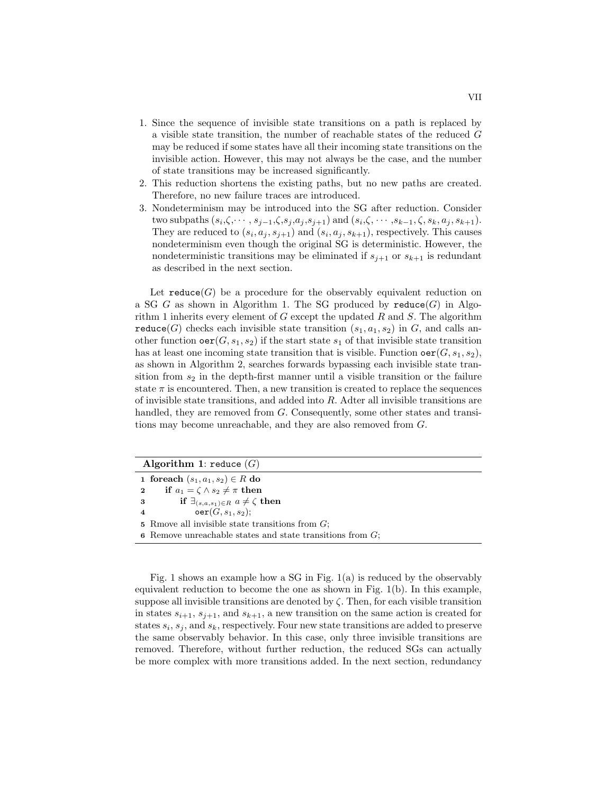- 1. Since the sequence of invisible state transitions on a path is replaced by a visible state transition, the number of reachable states of the reduced G may be reduced if some states have all their incoming state transitions on the invisible action. However, this may not always be the case, and the number of state transitions may be increased significantly.
- 2. This reduction shortens the existing paths, but no new paths are created. Therefore, no new failure traces are introduced.
- 3. Nondeterminism may be introduced into the SG after reduction. Consider two subpaths  $(s_i, \zeta, \dots, s_{j-1}, \zeta, s_j, a_j, s_{j+1})$  and  $(s_i, \zeta, \dots, s_{k-1}, \zeta, s_k, a_j, s_{k+1})$ . They are reduced to  $(s_i, a_j, s_{j+1})$  and  $(s_i, a_j, s_{k+1})$ , respectively. This causes nondeterminism even though the original SG is deterministic. However, the nondeterministic transitions may be eliminated if  $s_{j+1}$  or  $s_{k+1}$  is redundant as described in the next section.

Let  $\text{reduce}(G)$  be a procedure for the observably equivalent reduction on a SG G as shown in Algorithm 1. The SG produced by reduce  $(G)$  in Algorithm 1 inherits every element of  $G$  except the updated  $R$  and  $S$ . The algorithm reduce(G) checks each invisible state transition  $(s_1, a_1, s_2)$  in G, and calls another function  $\text{oer}(G, s_1, s_2)$  if the start state  $s_1$  of that invisible state transition has at least one incoming state transition that is visible. Function  $\mathbf{oer}(G, s_1, s_2)$ , as shown in Algorithm 2, searches forwards bypassing each invisible state transition from  $s_2$  in the depth-first manner until a visible transition or the failure state  $\pi$  is encountered. Then, a new transition is created to replace the sequences of invisible state transitions, and added into  $R$ . Adter all invisible transitions are handled, they are removed from G. Consequently, some other states and transitions may become unreachable, and they are also removed from G.

| Algorithm 1: reduce $(G)$                                           |
|---------------------------------------------------------------------|
| 1 foreach $(s_1, a_1, s_2) \in R$ do                                |
| if $a_1 = \zeta \wedge s_2 \neq \pi$ then<br>$\mathbf 2$            |
| if $\exists_{(s,a,s_1)\in R} a \neq \zeta$ then<br>3                |
| $oer(G, s_1, s_2);$<br>4                                            |
| <b>5</b> Rmove all invisible state transitions from $G$ ;           |
| <b>6</b> Remove unreachable states and state transitions from $G$ ; |
|                                                                     |

Fig. 1 shows an example how a SG in Fig. 1(a) is reduced by the observably equivalent reduction to become the one as shown in Fig. 1(b). In this example, suppose all invisible transitions are denoted by  $\zeta$ . Then, for each visible transition in states  $s_{i+1}, s_{j+1}$ , and  $s_{k+1}$ , a new transition on the same action is created for states  $s_i, s_j$ , and  $s_k$ , respectively. Four new state transitions are added to preserve the same observably behavior. In this case, only three invisible transitions are removed. Therefore, without further reduction, the reduced SGs can actually be more complex with more transitions added. In the next section, redundancy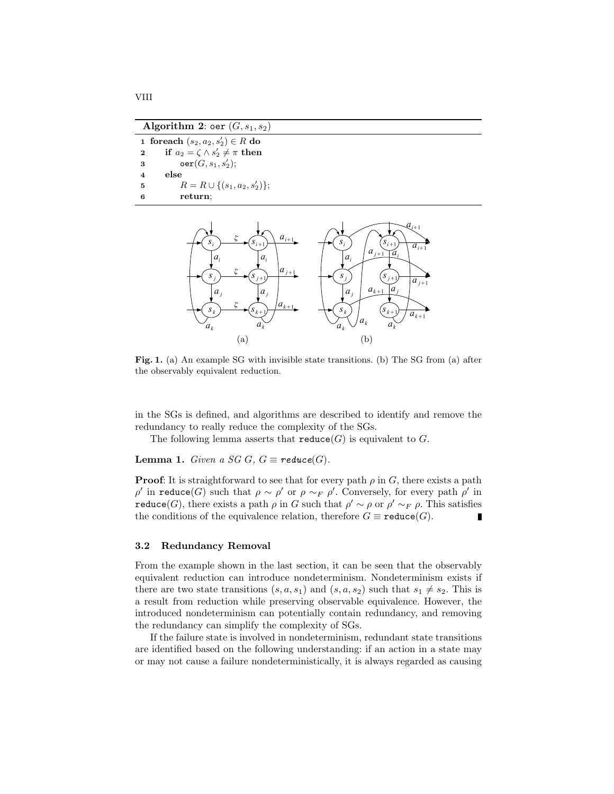Algorithm 2: oer  $(G, s_1, s_2)$ 

1 foreach  $(s_2, a_2, s'_2) \in R$  do 2 if  $a_2 = \zeta \wedge s'_2 \neq \pi$  then 3  $\mathsf{oer}(G, s_1, s'_2);$ 4 else 5  $R = R \cup \{(s_1, a_2, s_2')\};$ 6 return;



Fig. 1. (a) An example SG with invisible state transitions. (b) The SG from (a) after the observably equivalent reduction.

in the SGs is defined, and algorithms are described to identify and remove the redundancy to really reduce the complexity of the SGs.

The following lemma asserts that  $\text{reduce}(G)$  is equivalent to G.

**Lemma 1.** Given a SG G,  $G \equiv \text{reduce}(G)$ .

**Proof:** It is straightforward to see that for every path  $\rho$  in  $G$ , there exists a path  $\rho'$  in reduce(G) such that  $\rho \sim \rho'$  or  $\rho \sim_F \rho'$ . Conversely, for every path  $\rho'$  in reduce(*G*), there exists a path  $\rho$  in *G* such that  $\rho' \sim \rho$  or  $\rho' \sim_F \rho$ . This satisfies the conditions of the equivalence relation, therefore  $G \equiv \text{reduce}(G)$ . П

#### 3.2 Redundancy Removal

From the example shown in the last section, it can be seen that the observably equivalent reduction can introduce nondeterminism. Nondeterminism exists if there are two state transitions  $(s, a, s_1)$  and  $(s, a, s_2)$  such that  $s_1 \neq s_2$ . This is a result from reduction while preserving observable equivalence. However, the introduced nondeterminism can potentially contain redundancy, and removing the redundancy can simplify the complexity of SGs.

If the failure state is involved in nondeterminism, redundant state transitions are identified based on the following understanding: if an action in a state may or may not cause a failure nondeterministically, it is always regarded as causing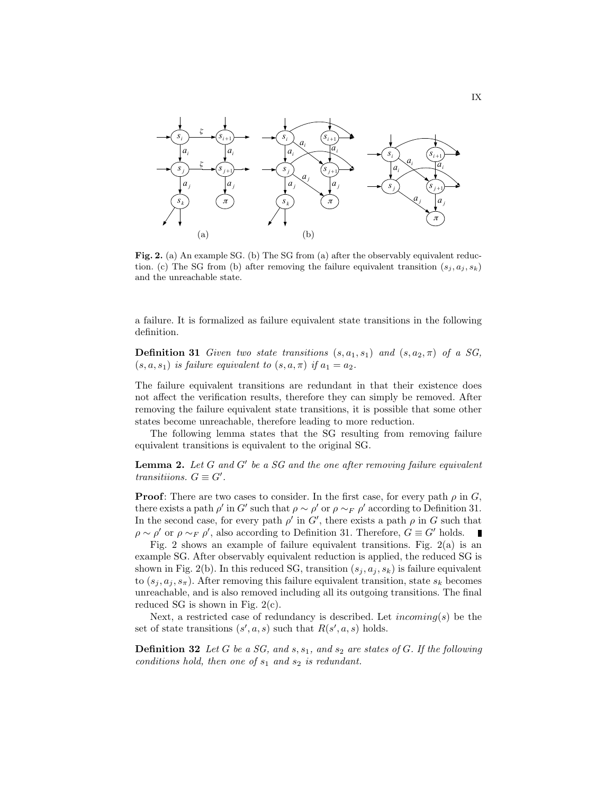

Fig. 2. (a) An example SG. (b) The SG from (a) after the observably equivalent reduction. (c) The SG from (b) after removing the failure equivalent transition  $(s_j, a_j, s_k)$ and the unreachable state.

a failure. It is formalized as failure equivalent state transitions in the following definition.

**Definition 31** Given two state transitions  $(s, a_1, s_1)$  and  $(s, a_2, \pi)$  of a SG,  $(s, a, s_1)$  is failure equivalent to  $(s, a, \pi)$  if  $a_1 = a_2$ .

The failure equivalent transitions are redundant in that their existence does not affect the verification results, therefore they can simply be removed. After removing the failure equivalent state transitions, it is possible that some other states become unreachable, therefore leading to more reduction.

The following lemma states that the SG resulting from removing failure equivalent transitions is equivalent to the original SG.

**Lemma 2.** Let  $G$  and  $G'$  be a  $SG$  and the one after removing failure equivalent transitiions.  $G \equiv G'$ .

**Proof:** There are two cases to consider. In the first case, for every path  $\rho$  in  $G$ , there exists a path  $\rho'$  in G' such that  $\rho \sim \rho'$  or  $\rho \sim_F \rho'$  according to Definition 31. In the second case, for every path  $\rho'$  in G', there exists a path  $\rho$  in G such that  $\rho \sim \rho'$  or  $\rho \sim_F \rho'$ , also according to Definition 31. Therefore,  $G \equiv G'$  holds. Г

Fig. 2 shows an example of failure equivalent transitions. Fig. 2(a) is an example SG. After observably equivalent reduction is applied, the reduced SG is shown in Fig. 2(b). In this reduced SG, transition  $(s_j, a_j, s_k)$  is failure equivalent to  $(s_i, a_j, s_\pi)$ . After removing this failure equivalent transition, state  $s_k$  becomes unreachable, and is also removed including all its outgoing transitions. The final reduced SG is shown in Fig.  $2(c)$ .

Next, a restricted case of redundancy is described. Let  $incoming(s)$  be the set of state transitions  $(s', a, s)$  such that  $R(s', a, s)$  holds.

**Definition 32** Let G be a SG, and  $s$ ,  $s_1$ , and  $s_2$  are states of G. If the following conditions hold, then one of  $s_1$  and  $s_2$  is redundant.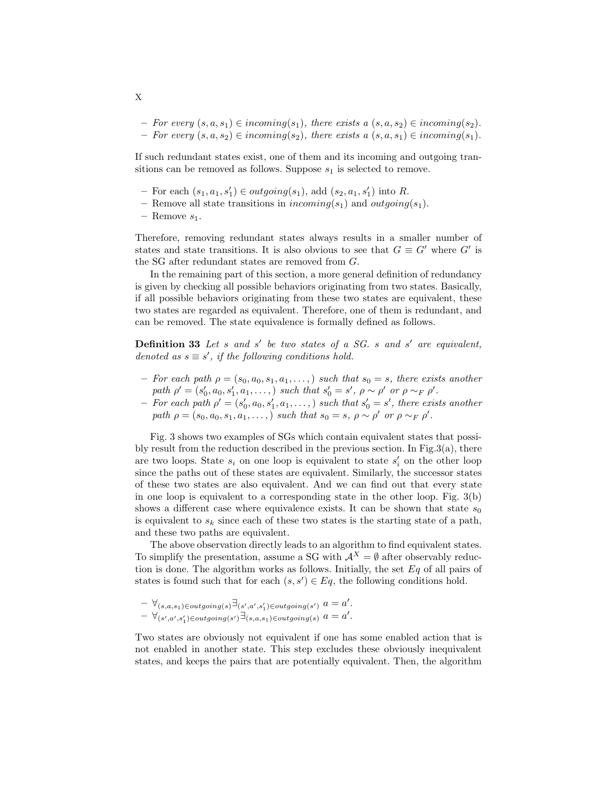- For every  $(s, a, s_1)$  ∈ incoming $(s_1)$ , there exists a  $(s, a, s_2)$  ∈ incoming $(s_2)$ .
- $-$  For every  $(s, a, s_2) \in incoming(s_2)$ , there exists  $a(s, a, s_1) \in incoming(s_1)$ .

If such redundant states exist, one of them and its incoming and outgoing transitions can be removed as follows. Suppose  $s_1$  is selected to remove.

- For each  $(s_1, a_1, s'_1) \in outgoing(s_1)$ , add  $(s_2, a_1, s'_1)$  into R.
- Remove all state transitions in *incoming*( $s_1$ ) and *outgoing*( $s_1$ ).
- $-$  Remove  $s_1$ .

Therefore, removing redundant states always results in a smaller number of states and state transitions. It is also obvious to see that  $G \equiv G'$  where G' is the SG after redundant states are removed from G.

In the remaining part of this section, a more general definition of redundancy is given by checking all possible behaviors originating from two states. Basically, if all possible behaviors originating from these two states are equivalent, these two states are regarded as equivalent. Therefore, one of them is redundant, and can be removed. The state equivalence is formally defined as follows.

**Definition 33** Let s and s' be two states of a SG. s and s' are equivalent, denoted as  $s \equiv s'$ , if the following conditions hold.

- For each path  $\rho = (s_0, a_0, s_1, a_1, \ldots)$  such that  $s_0 = s$ , there exists another path  $\rho' = (s'_0, a_0, s'_1, a_1, \dots)$  such that  $s'_0 = s'$ ,  $\rho \sim \rho'$  or  $\rho \sim_F \rho'$ .
- For each path  $\rho' = (s'_0, a_0, s'_1, a_1, \ldots)$  such that  $s'_0 = s'$ , there exists another path  $\rho = (s_0, a_0, s_1, a_1, \ldots)$  such that  $s_0 = s$ ,  $\rho \sim \rho'$  or  $\rho \sim_F \rho'$ .

Fig. 3 shows two examples of SGs which contain equivalent states that possibly result from the reduction described in the previous section. In Fig.3(a), there are two loops. State  $s_i$  on one loop is equivalent to state  $s'_i$  on the other loop since the paths out of these states are equivalent. Similarly, the successor states of these two states are also equivalent. And we can find out that every state in one loop is equivalent to a corresponding state in the other loop. Fig. 3(b) shows a different case where equivalence exists. It can be shown that state  $s_0$ is equivalent to  $s_k$  since each of these two states is the starting state of a path, and these two paths are equivalent.

The above observation directly leads to an algorithm to find equivalent states. To simplify the presentation, assume a SG with  $\mathcal{A}^X = \emptyset$  after observably reduction is done. The algorithm works as follows. Initially, the set  $Eq$  of all pairs of states is found such that for each  $(s, s') \in Eq$ , the following conditions hold.

$$
- \forall_{(s,a,s_1) \in outgoing(s)} \exists_{(s',a',s'_1) \in outgoing(s')} a = a'.
$$
  

$$
- \forall_{(s',a',s'_1) \in outgoing(s')} \exists_{(s,a,s_1) \in outgoing(s)} a = a'.
$$

Two states are obviously not equivalent if one has some enabled action that is not enabled in another state. This step excludes these obviously inequivalent states, and keeps the pairs that are potentially equivalent. Then, the algorithm

X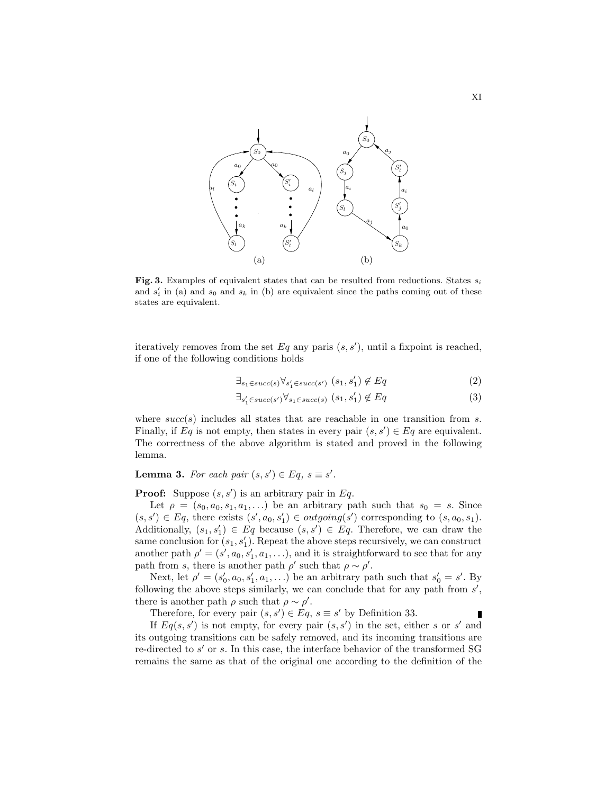

Fig. 3. Examples of equivalent states that can be resulted from reductions. States  $s_i$ and  $s_i'$  in (a) and  $s_0$  and  $s_k$  in (b) are equivalent since the paths coming out of these states are equivalent.

iteratively removes from the set  $Eq$  any paris  $(s, s')$ , until a fixpoint is reached, if one of the following conditions holds

$$
\exists_{s_1 \in succ(s)} \forall_{s'_1 \in succ(s')} (s_1, s'_1) \notin Eq \tag{2}
$$

$$
\exists_{s_1' \in succ(s')} \forall_{s_1 \in succ(s)} (s_1, s_1') \notin Eq \tag{3}
$$

where  $succ(s)$  includes all states that are reachable in one transition from s. Finally, if Eq is not empty, then states in every pair  $(s, s') \in Eq$  are equivalent. The correctness of the above algorithm is stated and proved in the following lemma.

**Lemma 3.** For each pair  $(s, s') \in Eq, s \equiv s'$ .

**Proof:** Suppose  $(s, s')$  is an arbitrary pair in Eq.

Let  $\rho = (s_0, a_0, s_1, a_1, \ldots)$  be an arbitrary path such that  $s_0 = s$ . Since  $(s, s') \in Eq$ , there exists  $(s', a_0, s'_1) \in outgoing(s')$  corresponding to  $(s, a_0, s_1)$ . Additionally,  $(s_1, s'_1) \in Eq$  because  $(s, s') \in Eq$ . Therefore, we can draw the same conclusion for  $(s_1, s_1')$ . Repeat the above steps recursively, we can construct another path  $\rho' = (s', a_0, s'_1, a_1, \ldots)$ , and it is straightforward to see that for any path from s, there is another path  $\rho'$  such that  $\rho \sim \rho'$ .

Next, let  $\rho' = (s'_0, a_0, s'_1, a_1, \ldots)$  be an arbitrary path such that  $s'_0 = s'$ . By following the above steps similarly, we can conclude that for any path from  $s'$ , there is another path  $\rho$  such that  $\rho \sim \rho'$ .

Therefore, for every pair  $(s, s') \in Eq$ ,  $s \equiv s'$  by Definition 33.

 $\blacksquare$ 

If  $Eq(s, s')$  is not empty, for every pair  $(s, s')$  in the set, either s or s' and its outgoing transitions can be safely removed, and its incoming transitions are re-directed to  $s'$  or s. In this case, the interface behavior of the transformed SG remains the same as that of the original one according to the definition of the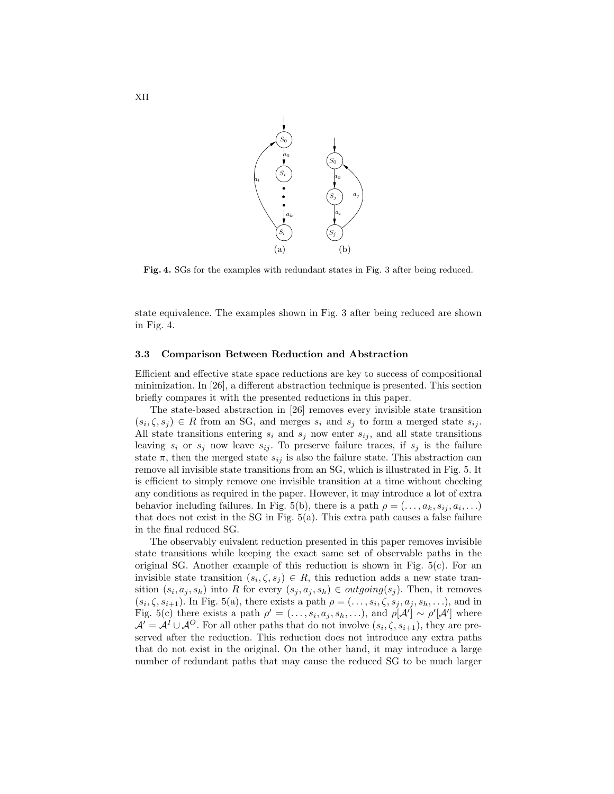

Fig. 4. SGs for the examples with redundant states in Fig. 3 after being reduced.

state equivalence. The examples shown in Fig. 3 after being reduced are shown in Fig. 4.

#### 3.3 Comparison Between Reduction and Abstraction

Efficient and effective state space reductions are key to success of compositional minimization. In [26], a different abstraction technique is presented. This section briefly compares it with the presented reductions in this paper.

The state-based abstraction in [26] removes every invisible state transition  $(s_i, \zeta, s_j) \in R$  from an SG, and merges  $s_i$  and  $s_j$  to form a merged state  $s_{ij}$ . All state transitions entering  $s_i$  and  $s_j$  now enter  $s_{ij}$ , and all state transitions leaving  $s_i$  or  $s_j$  now leave  $s_{ij}$ . To preserve failure traces, if  $s_j$  is the failure state  $\pi$ , then the merged state  $s_{ij}$  is also the failure state. This abstraction can remove all invisible state transitions from an SG, which is illustrated in Fig. 5. It is efficient to simply remove one invisible transition at a time without checking any conditions as required in the paper. However, it may introduce a lot of extra behavior including failures. In Fig. 5(b), there is a path  $\rho = (\ldots, a_k, s_{ij}, a_i, \ldots)$ that does not exist in the SG in Fig. 5(a). This extra path causes a false failure in the final reduced SG.

The observably euivalent reduction presented in this paper removes invisible state transitions while keeping the exact same set of observable paths in the original SG. Another example of this reduction is shown in Fig. 5(c). For an invisible state transition  $(s_i, \zeta, s_j) \in R$ , this reduction adds a new state transition  $(s_i, a_j, s_h)$  into R for every  $(s_j, a_j, s_h) \in outgoing(s_j)$ . Then, it removes  $(s_i, \zeta, s_{i+1})$ . In Fig. 5(a), there exists a path  $\rho = (\ldots, s_i, \zeta, s_j, a_j, s_h, \ldots)$ , and in Fig. 5(c) there exists a path  $\rho' = (\ldots, s_i, a_j, s_h, \ldots)$ , and  $\rho[\mathcal{A}'] \sim \rho'[\mathcal{A}']$  where  $\mathcal{A}' = \mathcal{A}^I \cup \mathcal{A}^O$ . For all other paths that do not involve  $(s_i, \zeta, s_{i+1})$ , they are preserved after the reduction. This reduction does not introduce any extra paths that do not exist in the original. On the other hand, it may introduce a large number of redundant paths that may cause the reduced SG to be much larger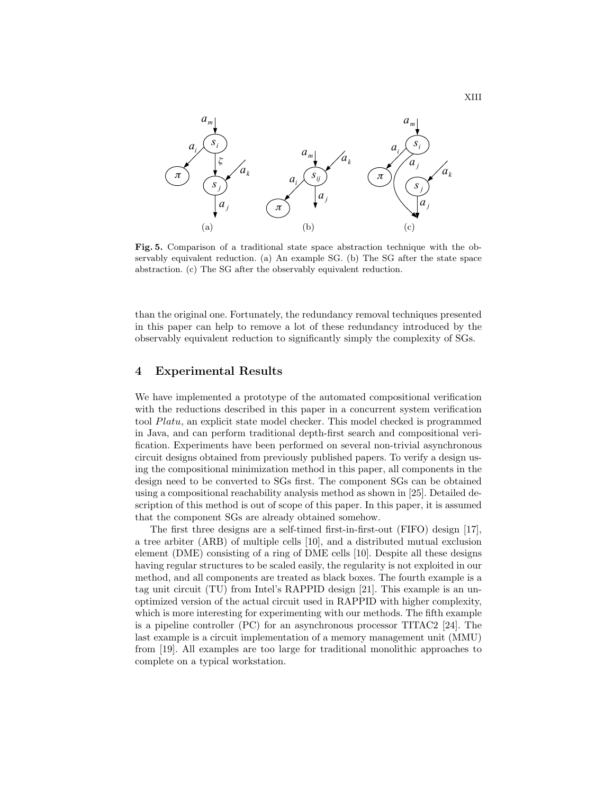

Fig. 5. Comparison of a traditional state space abstraction technique with the observably equivalent reduction. (a) An example SG. (b) The SG after the state space abstraction. (c) The SG after the observably equivalent reduction.

than the original one. Fortunately, the redundancy removal techniques presented in this paper can help to remove a lot of these redundancy introduced by the observably equivalent reduction to significantly simply the complexity of SGs.

## 4 Experimental Results

We have implemented a prototype of the automated compositional verification with the reductions described in this paper in a concurrent system verification tool Platu, an explicit state model checker. This model checked is programmed in Java, and can perform traditional depth-first search and compositional verification. Experiments have been performed on several non-trivial asynchronous circuit designs obtained from previously published papers. To verify a design using the compositional minimization method in this paper, all components in the design need to be converted to SGs first. The component SGs can be obtained using a compositional reachability analysis method as shown in [25]. Detailed description of this method is out of scope of this paper. In this paper, it is assumed that the component SGs are already obtained somehow.

The first three designs are a self-timed first-in-first-out (FIFO) design [17], a tree arbiter (ARB) of multiple cells [10], and a distributed mutual exclusion element (DME) consisting of a ring of DME cells [10]. Despite all these designs having regular structures to be scaled easily, the regularity is not exploited in our method, and all components are treated as black boxes. The fourth example is a tag unit circuit (TU) from Intel's RAPPID design [21]. This example is an unoptimized version of the actual circuit used in RAPPID with higher complexity, which is more interesting for experimenting with our methods. The fifth example is a pipeline controller (PC) for an asynchronous processor TITAC2 [24]. The last example is a circuit implementation of a memory management unit (MMU) from [19]. All examples are too large for traditional monolithic approaches to complete on a typical workstation.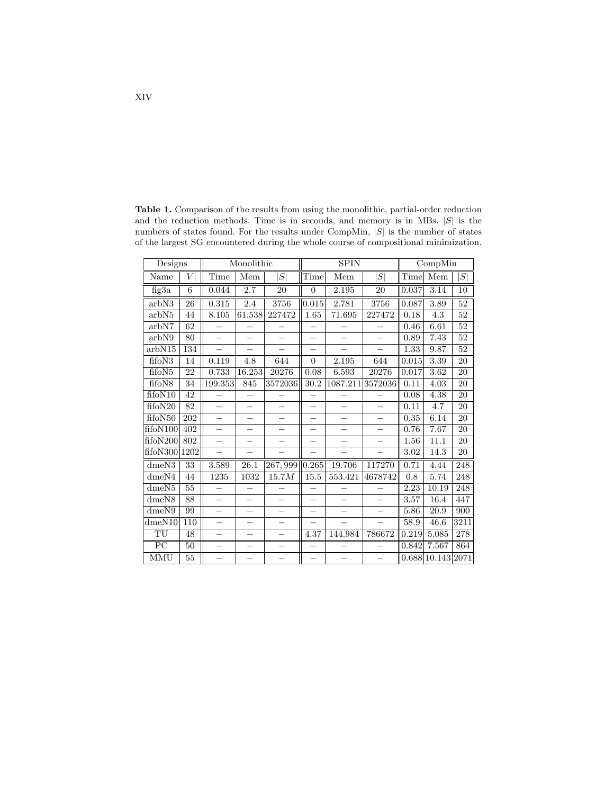Table 1. Comparison of the results from using the monolithic, partial-order reduction and the reduction methods. Time is in seconds, and memory is in MBs.  $|S|$  is the numbers of states found. For the results under CompMin,  $|S|$  is the number of states of the largest SG encountered during the whole course of compositional minimization.

| Designs           |           | Monolithic               |                          |                          | <b>SPIN</b>              |                          |                          | CompMin |                                |                  |
|-------------------|-----------|--------------------------|--------------------------|--------------------------|--------------------------|--------------------------|--------------------------|---------|--------------------------------|------------------|
| Name              | $\bar{V}$ | Time                     | $\overline{\text{Mem}}$  | $ \overline{S} $         | $\overline{\text{Time}}$ | $\overline{\text{Mem}}$  | $ \overline{S} $         | Time    | Mem                            | $ \overline{S} $ |
| fig3a             | 6         | 0.044                    | 2.7                      | 20                       | $\overline{0}$           | 2.195                    | 20                       | 0.037   | $\overline{3.14}$              | 10               |
| arbN3             | 26        | 0.315                    | 2.4                      | 3756                     | 0.015                    | 2.781                    | 3756                     | 0.087   | 3.89                           | 52               |
| arbN5             | 44        | 8.105                    | 61.538                   | 227472                   | 1.65                     | 71.695                   | 227472                   | 0.18    | 4.3                            | 52               |
| arbN7             | 62        |                          | $\overline{\phantom{0}}$ |                          |                          |                          |                          | 0.46    | 6.61                           | $\overline{52}$  |
| arbN9             | 80        | $\overline{\phantom{0}}$ | $\overline{\phantom{0}}$ | $\overline{\phantom{0}}$ | $\overline{\phantom{0}}$ | $\overline{\phantom{0}}$ | $\overline{\phantom{0}}$ | 0.89    | 7.43                           | $52\,$           |
| arbN15            | 134       | $\overline{\phantom{0}}$ | $\overline{\phantom{0}}$ |                          | $\overline{\phantom{0}}$ |                          |                          | 1.33    | 9.87                           | 52               |
| fifoN3            | 14        | 0.119                    | 4.8                      | 644                      | $\overline{0}$           | 2.195                    | 644                      | 0.015   | 3.39                           | 20               |
| fifoN5            | 22        | 0.733                    | 16.253                   | 20276                    | 0.08                     | 6.593                    | 20276                    | 0.017   | 3.62                           | 20               |
| fifoN8            | 34        | 199.353                  | 845                      | 3572036                  | $30.2\,$                 | 1087.211                 | 3572036                  | 0.11    | 4.03                           | 20               |
| fifoN10           | 42        | $\overline{\phantom{0}}$ | $\overline{\phantom{0}}$ |                          | $\overline{\phantom{0}}$ |                          |                          | 0.08    | 4.38                           | 20               |
| $fi$ foN20        | 82        | $\overline{\phantom{0}}$ | $\overline{\phantom{0}}$ | $\overline{\phantom{0}}$ | $\overline{\phantom{0}}$ | $\overline{\phantom{0}}$ | $\overline{\phantom{0}}$ | 0.11    | 4.7                            | 20               |
| fifoN50           | 202       | $\overline{\phantom{0}}$ | $\overline{\phantom{0}}$ | $\overline{\phantom{0}}$ | $\overline{\phantom{0}}$ | $\overline{\phantom{0}}$ | $\overline{\phantom{0}}$ | 0.35    | 6.14                           | 20               |
| fifoN100          | 402       | $\overline{\phantom{0}}$ | $\overline{\phantom{0}}$ | $\overline{\phantom{0}}$ | $\overline{\phantom{0}}$ | $\overline{\phantom{0}}$ | $\overline{\phantom{0}}$ | 0.76    | 7.67                           | 20               |
| fifoN200          | 802       | $\equiv$                 | $\overline{\phantom{0}}$ | $\overline{\phantom{0}}$ | $\overline{\phantom{0}}$ | $\overline{\phantom{0}}$ | $\overline{\phantom{0}}$ | 1.56    | 11.1                           | 20               |
| fifoN300          | 1202      | $\overline{\phantom{0}}$ | $\overline{\phantom{0}}$ | $\equiv$                 | $\overline{\phantom{0}}$ | $\equiv$                 | $\equiv$                 | 3.02    | 14.3                           | 20               |
| $d$ me $N3$       | 33        | 3.589                    | 26.1                     | 267,999                  | 0.265                    | 19.706                   | 117270                   | 0.71    | 4.44                           | 248              |
| $d$ me $N4$       | 44        | 1235                     | 1032                     | 15.7M                    | 15.5                     | 553.421                  | 4678742                  | 0.8     | 5.74                           | 248              |
| dmeN <sub>5</sub> | 55        | $\overline{\phantom{0}}$ | $\overline{\phantom{0}}$ | $\overline{\phantom{0}}$ | $\overline{\phantom{0}}$ | $\overline{\phantom{0}}$ | $\overline{\phantom{0}}$ | 2.23    | 10.19                          | 248              |
| dmeN8             | 88        | $\overline{\phantom{0}}$ | $\overline{\phantom{0}}$ | $\overline{\phantom{0}}$ | $\overline{\phantom{0}}$ | $\overline{\phantom{0}}$ | —                        | 3.57    | 16.4                           | 447              |
| $d$ me $N9$       | 99        | $\overline{\phantom{0}}$ | $\overline{\phantom{0}}$ | $\overline{\phantom{0}}$ |                          |                          | $\overline{\phantom{0}}$ | 5.86    | 20.9                           | 900              |
| $d$ me $N10$      | 110       | $\overline{\phantom{0}}$ | $\overline{\phantom{0}}$ | $\overline{\phantom{0}}$ |                          |                          | $\overline{\phantom{0}}$ | 58.9    | 46.6                           | 3211             |
| TU                | 48        | $\overline{\phantom{0}}$ | $\overline{\phantom{0}}$ | $\overline{\phantom{0}}$ | 4.37                     | 144.984                  | 786672                   | 0.219   | 5.085                          | 278              |
| PC                | 50        | $\overline{\phantom{0}}$ | $\overline{\phantom{0}}$ | $\overline{\phantom{0}}$ | $\overline{\phantom{0}}$ |                          | $\overline{\phantom{0}}$ | 0.842   | 7.567                          | 864              |
| MMU               | $55\,$    | $\overline{\phantom{0}}$ | $\overline{\phantom{0}}$ | $\overline{\phantom{0}}$ | $\overline{\phantom{0}}$ | $\overline{\phantom{0}}$ | $\overline{\phantom{0}}$ |         | $0.688 10.143 \overline{2071}$ |                  |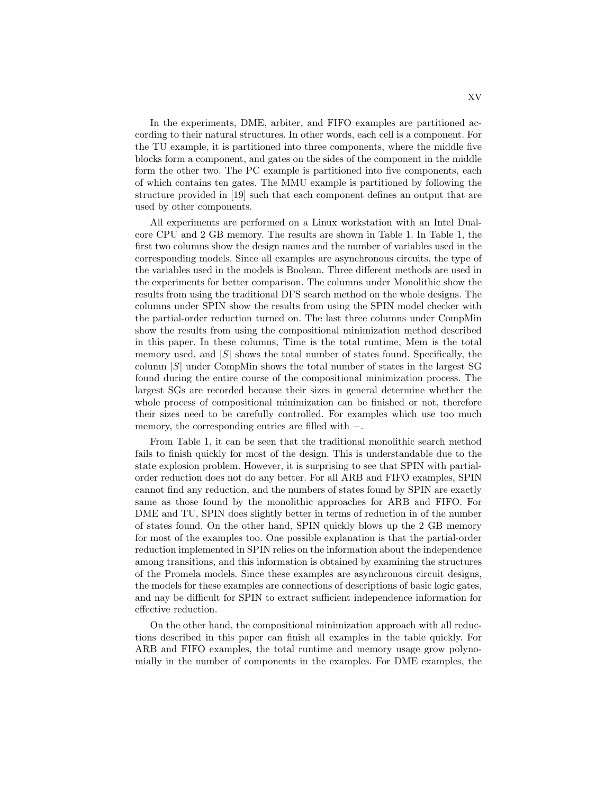In the experiments, DME, arbiter, and FIFO examples are partitioned according to their natural structures. In other words, each cell is a component. For the TU example, it is partitioned into three components, where the middle five blocks form a component, and gates on the sides of the component in the middle form the other two. The PC example is partitioned into five components, each of which contains ten gates. The MMU example is partitioned by following the structure provided in [19] such that each component defines an output that are used by other components.

All experiments are performed on a Linux workstation with an Intel Dualcore CPU and 2 GB memory. The results are shown in Table 1. In Table 1, the first two columns show the design names and the number of variables used in the corresponding models. Since all examples are asynchronous circuits, the type of the variables used in the models is Boolean. Three different methods are used in the experiments for better comparison. The columns under Monolithic show the results from using the traditional DFS search method on the whole designs. The columns under SPIN show the results from using the SPIN model checker with the partial-order reduction turned on. The last three columns under CompMin show the results from using the compositional minimization method described in this paper. In these columns, Time is the total runtime, Mem is the total memory used, and  $|S|$  shows the total number of states found. Specifically, the column  $|S|$  under CompMin shows the total number of states in the largest SG found during the entire course of the compositional minimization process. The largest SGs are recorded because their sizes in general determine whether the whole process of compositional minimization can be finished or not, therefore their sizes need to be carefully controlled. For examples which use too much memory, the corresponding entries are filled with −.

From Table 1, it can be seen that the traditional monolithic search method fails to finish quickly for most of the design. This is understandable due to the state explosion problem. However, it is surprising to see that SPIN with partialorder reduction does not do any better. For all ARB and FIFO examples, SPIN cannot find any reduction, and the numbers of states found by SPIN are exactly same as those found by the monolithic approaches for ARB and FIFO. For DME and TU, SPIN does slightly better in terms of reduction in of the number of states found. On the other hand, SPIN quickly blows up the 2 GB memory for most of the examples too. One possible explanation is that the partial-order reduction implemented in SPIN relies on the information about the independence among transitions, and this information is obtained by examining the structures of the Promela models. Since these examples are asynchronous circuit designs, the models for these examples are connections of descriptions of basic logic gates, and nay be difficult for SPIN to extract sufficient independence information for effective reduction.

On the other hand, the compositional minimization approach with all reductions described in this paper can finish all examples in the table quickly. For ARB and FIFO examples, the total runtime and memory usage grow polynomially in the number of components in the examples. For DME examples, the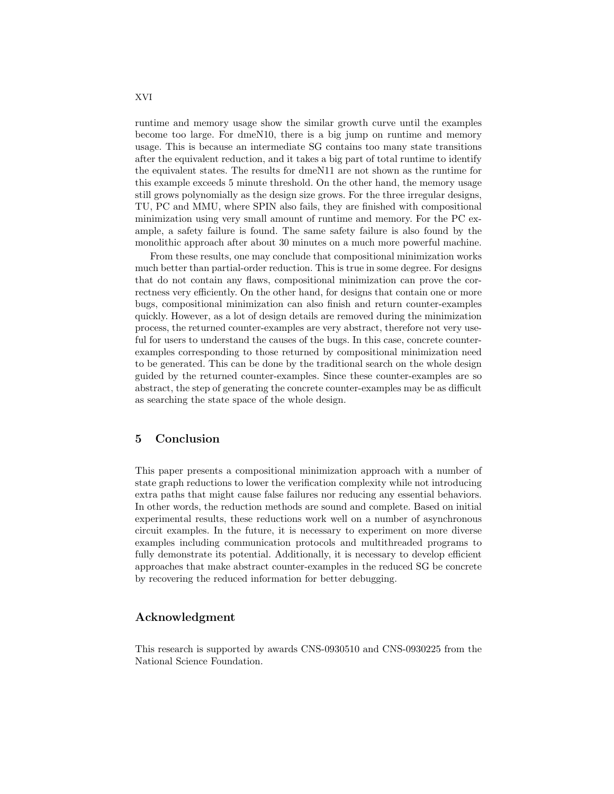runtime and memory usage show the similar growth curve until the examples become too large. For dmeN10, there is a big jump on runtime and memory usage. This is because an intermediate SG contains too many state transitions after the equivalent reduction, and it takes a big part of total runtime to identify the equivalent states. The results for dmeN11 are not shown as the runtime for this example exceeds 5 minute threshold. On the other hand, the memory usage still grows polynomially as the design size grows. For the three irregular designs, TU, PC and MMU, where SPIN also fails, they are finished with compositional minimization using very small amount of runtime and memory. For the PC example, a safety failure is found. The same safety failure is also found by the monolithic approach after about 30 minutes on a much more powerful machine.

From these results, one may conclude that compositional minimization works much better than partial-order reduction. This is true in some degree. For designs that do not contain any flaws, compositional minimization can prove the correctness very efficiently. On the other hand, for designs that contain one or more bugs, compositional minimization can also finish and return counter-examples quickly. However, as a lot of design details are removed during the minimization process, the returned counter-examples are very abstract, therefore not very useful for users to understand the causes of the bugs. In this case, concrete counterexamples corresponding to those returned by compositional minimization need to be generated. This can be done by the traditional search on the whole design guided by the returned counter-examples. Since these counter-examples are so abstract, the step of generating the concrete counter-examples may be as difficult as searching the state space of the whole design.

# 5 Conclusion

This paper presents a compositional minimization approach with a number of state graph reductions to lower the verification complexity while not introducing extra paths that might cause false failures nor reducing any essential behaviors. In other words, the reduction methods are sound and complete. Based on initial experimental results, these reductions work well on a number of asynchronous circuit examples. In the future, it is necessary to experiment on more diverse examples including communication protocols and multithreaded programs to fully demonstrate its potential. Additionally, it is necessary to develop efficient approaches that make abstract counter-examples in the reduced SG be concrete by recovering the reduced information for better debugging.

# Acknowledgment

This research is supported by awards CNS-0930510 and CNS-0930225 from the National Science Foundation.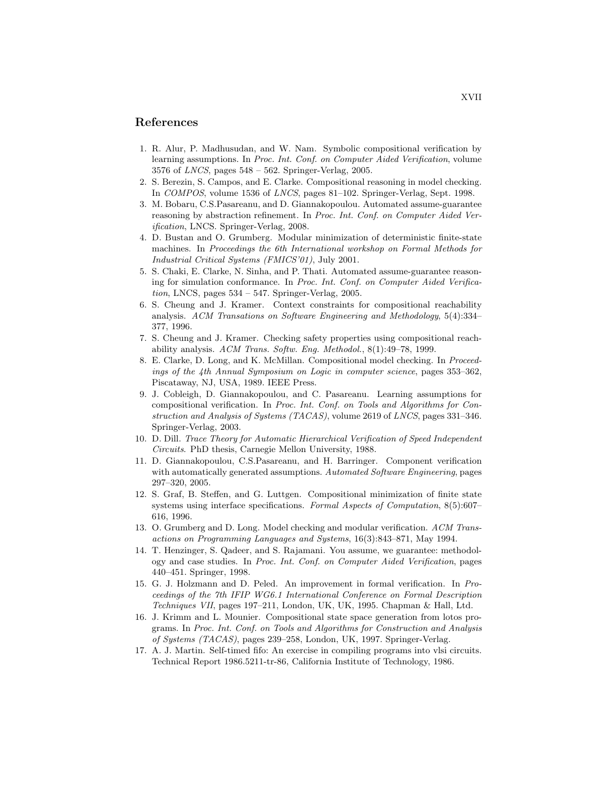### References

- 1. R. Alur, P. Madhusudan, and W. Nam. Symbolic compositional verification by learning assumptions. In Proc. Int. Conf. on Computer Aided Verification, volume 3576 of LNCS, pages 548 – 562. Springer-Verlag, 2005.
- 2. S. Berezin, S. Campos, and E. Clarke. Compositional reasoning in model checking. In COMPOS, volume 1536 of LNCS, pages 81–102. Springer-Verlag, Sept. 1998.
- 3. M. Bobaru, C.S.Pasareanu, and D. Giannakopoulou. Automated assume-guarantee reasoning by abstraction refinement. In Proc. Int. Conf. on Computer Aided Verification, LNCS. Springer-Verlag, 2008.
- 4. D. Bustan and O. Grumberg. Modular minimization of deterministic finite-state machines. In Proceedings the 6th International workshop on Formal Methods for Industrial Critical Systems (FMICS'01), July 2001.
- 5. S. Chaki, E. Clarke, N. Sinha, and P. Thati. Automated assume-guarantee reasoning for simulation conformance. In Proc. Int. Conf. on Computer Aided Verifica $tion, LNCS, pages 534 - 547. Springer-Verlag, 2005.$
- 6. S. Cheung and J. Kramer. Context constraints for compositional reachability analysis. ACM Transations on Software Engineering and Methodology, 5(4):334– 377, 1996.
- 7. S. Cheung and J. Kramer. Checking safety properties using compositional reachability analysis. ACM Trans. Softw. Eng. Methodol., 8(1):49–78, 1999.
- 8. E. Clarke, D. Long, and K. McMillan. Compositional model checking. In Proceedings of the 4th Annual Symposium on Logic in computer science, pages 353–362, Piscataway, NJ, USA, 1989. IEEE Press.
- 9. J. Cobleigh, D. Giannakopoulou, and C. Pasareanu. Learning assumptions for compositional verification. In Proc. Int. Conf. on Tools and Algorithms for Construction and Analysis of Systems (TACAS), volume 2619 of LNCS, pages 331–346. Springer-Verlag, 2003.
- 10. D. Dill. Trace Theory for Automatic Hierarchical Verification of Speed Independent Circuits. PhD thesis, Carnegie Mellon University, 1988.
- 11. D. Giannakopoulou, C.S.Pasareanu, and H. Barringer. Component verification with automatically generated assumptions. Automated Software Engineering, pages 297–320, 2005.
- 12. S. Graf, B. Steffen, and G. Luttgen. Compositional minimization of finite state systems using interface specifications. Formal Aspects of Computation, 8(5):607– 616, 1996.
- 13. O. Grumberg and D. Long. Model checking and modular verification. ACM Transactions on Programming Languages and Systems, 16(3):843–871, May 1994.
- 14. T. Henzinger, S. Qadeer, and S. Rajamani. You assume, we guarantee: methodology and case studies. In Proc. Int. Conf. on Computer Aided Verification, pages 440–451. Springer, 1998.
- 15. G. J. Holzmann and D. Peled. An improvement in formal verification. In Proceedings of the 7th IFIP WG6.1 International Conference on Formal Description Techniques VII, pages 197–211, London, UK, UK, 1995. Chapman & Hall, Ltd.
- 16. J. Krimm and L. Mounier. Compositional state space generation from lotos programs. In Proc. Int. Conf. on Tools and Algorithms for Construction and Analysis of Systems (TACAS), pages 239–258, London, UK, 1997. Springer-Verlag.
- 17. A. J. Martin. Self-timed fifo: An exercise in compiling programs into vlsi circuits. Technical Report 1986.5211-tr-86, California Institute of Technology, 1986.